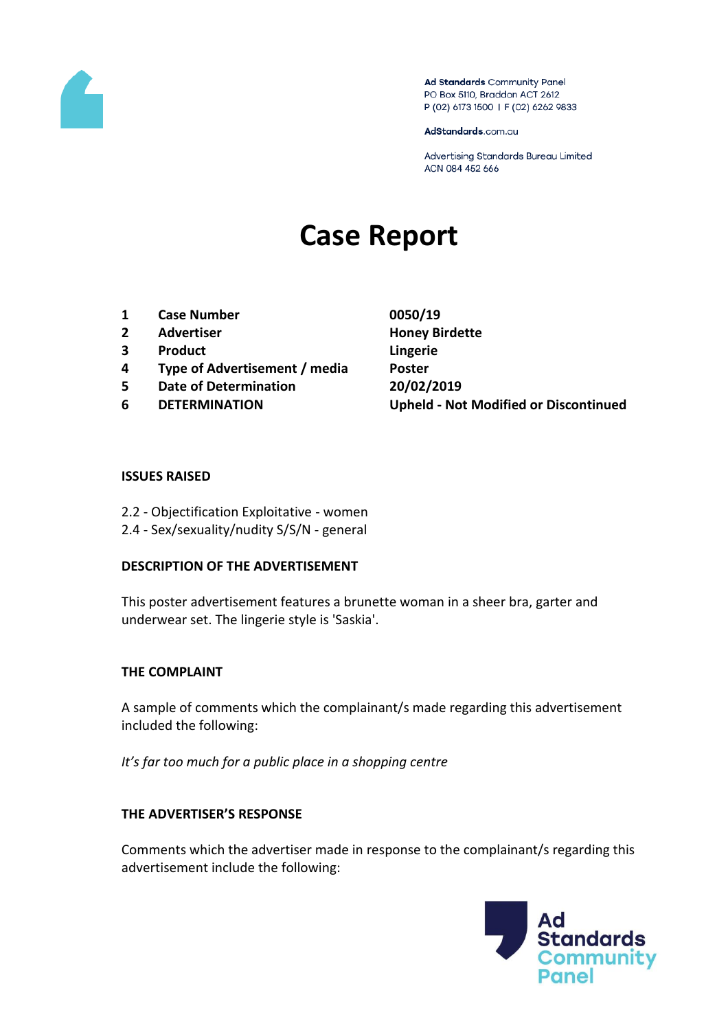

Ad Standards Community Panel PO Box 5110, Braddon ACT 2612 P (02) 6173 1500 | F (02) 6262 9833

AdStandards.com.au

Advertising Standards Bureau Limited ACN 084 452 666

# **Case Report**

- **1 Case Number 0050/19**
- **2 Advertiser Honey Birdette**
- **3 Product Lingerie**
- **4 Type of Advertisement / media Poster**
- **5 Date of Determination 20/02/2019**
- 

**6 DETERMINATION Upheld - Not Modified or Discontinued**

#### **ISSUES RAISED**

- 2.2 Objectification Exploitative women
- 2.4 Sex/sexuality/nudity S/S/N general

#### **DESCRIPTION OF THE ADVERTISEMENT**

This poster advertisement features a brunette woman in a sheer bra, garter and underwear set. The lingerie style is 'Saskia'.

## **THE COMPLAINT**

A sample of comments which the complainant/s made regarding this advertisement included the following:

*It's far too much for a public place in a shopping centre*

## **THE ADVERTISER'S RESPONSE**

Comments which the advertiser made in response to the complainant/s regarding this advertisement include the following:

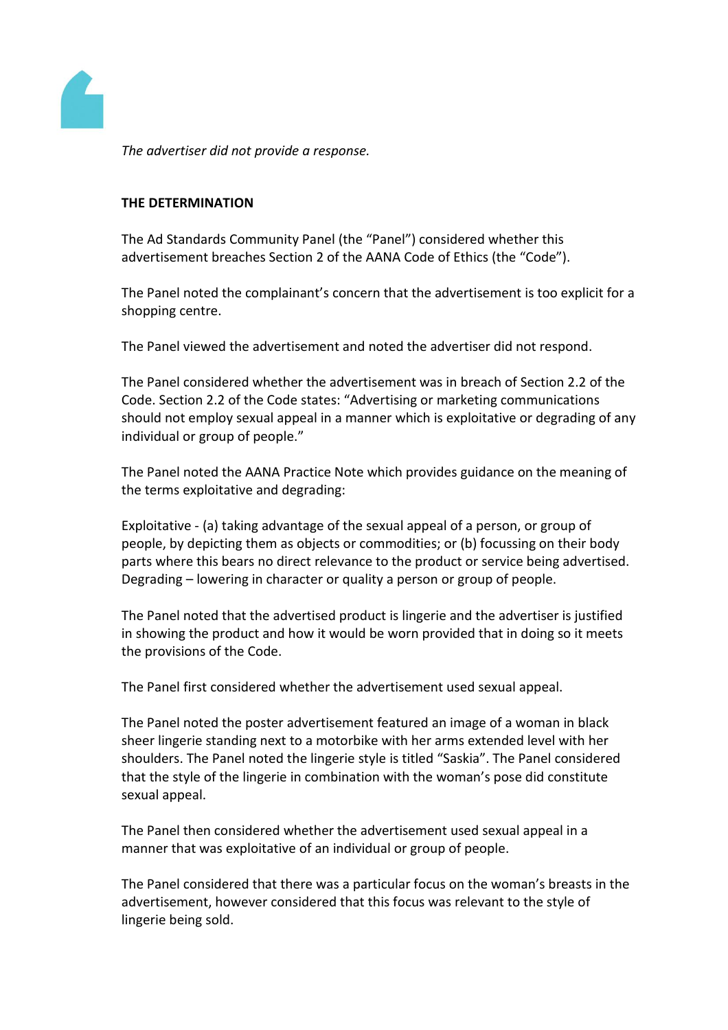

*The advertiser did not provide a response.*

## **THE DETERMINATION**

The Ad Standards Community Panel (the "Panel") considered whether this advertisement breaches Section 2 of the AANA Code of Ethics (the "Code").

The Panel noted the complainant's concern that the advertisement is too explicit for a shopping centre.

The Panel viewed the advertisement and noted the advertiser did not respond.

The Panel considered whether the advertisement was in breach of Section 2.2 of the Code. Section 2.2 of the Code states: "Advertising or marketing communications should not employ sexual appeal in a manner which is exploitative or degrading of any individual or group of people."

The Panel noted the AANA Practice Note which provides guidance on the meaning of the terms exploitative and degrading:

Exploitative - (a) taking advantage of the sexual appeal of a person, or group of people, by depicting them as objects or commodities; or (b) focussing on their body parts where this bears no direct relevance to the product or service being advertised. Degrading – lowering in character or quality a person or group of people.

The Panel noted that the advertised product is lingerie and the advertiser is justified in showing the product and how it would be worn provided that in doing so it meets the provisions of the Code.

The Panel first considered whether the advertisement used sexual appeal.

The Panel noted the poster advertisement featured an image of a woman in black sheer lingerie standing next to a motorbike with her arms extended level with her shoulders. The Panel noted the lingerie style is titled "Saskia". The Panel considered that the style of the lingerie in combination with the woman's pose did constitute sexual appeal.

The Panel then considered whether the advertisement used sexual appeal in a manner that was exploitative of an individual or group of people.

The Panel considered that there was a particular focus on the woman's breasts in the advertisement, however considered that this focus was relevant to the style of lingerie being sold.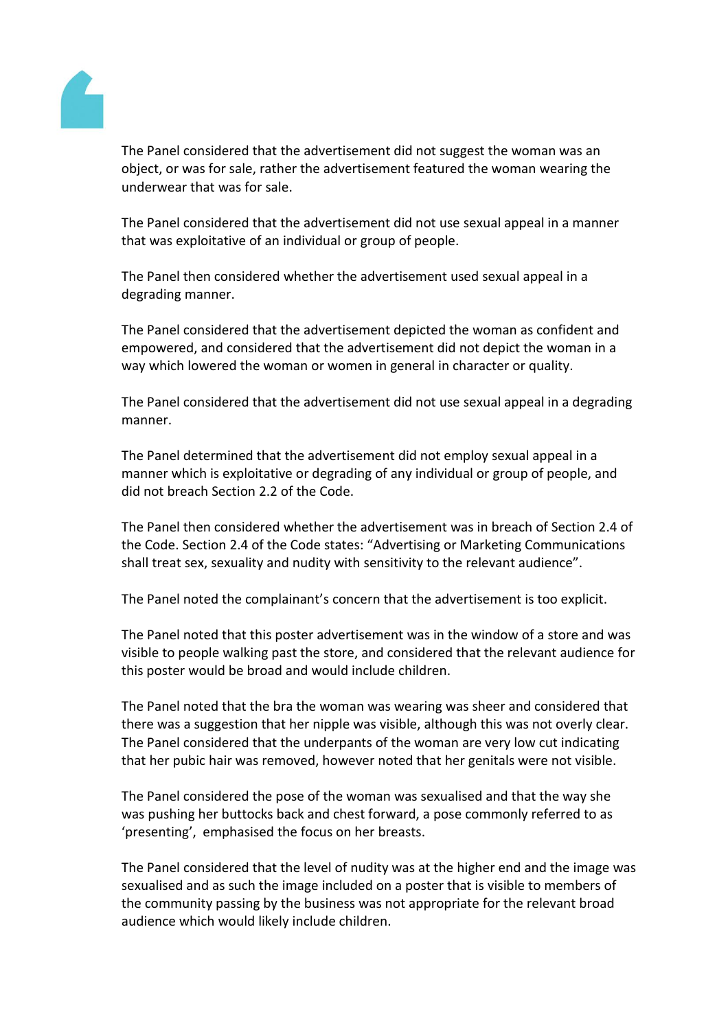

The Panel considered that the advertisement did not suggest the woman was an object, or was for sale, rather the advertisement featured the woman wearing the underwear that was for sale.

The Panel considered that the advertisement did not use sexual appeal in a manner that was exploitative of an individual or group of people.

The Panel then considered whether the advertisement used sexual appeal in a degrading manner.

The Panel considered that the advertisement depicted the woman as confident and empowered, and considered that the advertisement did not depict the woman in a way which lowered the woman or women in general in character or quality.

The Panel considered that the advertisement did not use sexual appeal in a degrading manner.

The Panel determined that the advertisement did not employ sexual appeal in a manner which is exploitative or degrading of any individual or group of people, and did not breach Section 2.2 of the Code.

The Panel then considered whether the advertisement was in breach of Section 2.4 of the Code. Section 2.4 of the Code states: "Advertising or Marketing Communications shall treat sex, sexuality and nudity with sensitivity to the relevant audience".

The Panel noted the complainant's concern that the advertisement is too explicit.

The Panel noted that this poster advertisement was in the window of a store and was visible to people walking past the store, and considered that the relevant audience for this poster would be broad and would include children.

The Panel noted that the bra the woman was wearing was sheer and considered that there was a suggestion that her nipple was visible, although this was not overly clear. The Panel considered that the underpants of the woman are very low cut indicating that her pubic hair was removed, however noted that her genitals were not visible.

The Panel considered the pose of the woman was sexualised and that the way she was pushing her buttocks back and chest forward, a pose commonly referred to as 'presenting', emphasised the focus on her breasts.

The Panel considered that the level of nudity was at the higher end and the image was sexualised and as such the image included on a poster that is visible to members of the community passing by the business was not appropriate for the relevant broad audience which would likely include children.